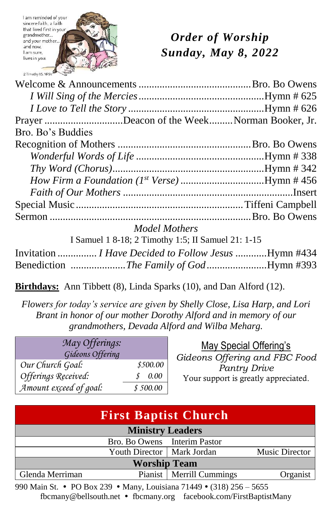

# *Order of Worship Sunday, May 8, 2022*

| Prayer Deacon of the WeekNorman Booker, Jr. |  |
|---------------------------------------------|--|
| Bro. Bo's Buddies                           |  |
|                                             |  |
|                                             |  |
|                                             |  |
|                                             |  |
|                                             |  |
|                                             |  |
|                                             |  |

*Model Mothers*

I Samuel 1 8-18; 2 Timothy 1:5; II Samuel 21: 1-15

| Invitation  I Have Decided to Follow Jesus Hymn #434 |  |
|------------------------------------------------------|--|
|                                                      |  |

**Birthdays:** Ann Tibbett (8), Linda Sparks (10), and Dan Alford (12).

*Flowers for today's service are given by Shelly Close, Lisa Harp, and Lori Brant in honor of our mother Dorothy Alford and in memory of our grandmothers, Devada Alford and Wilba Meharg.*

| May Offerings:<br>Gideons Offering |           |
|------------------------------------|-----------|
| Our Church Goal:                   | \$500.00  |
| Offerings Received:                | 0.00<br>S |
| Amount exceed of goal:             | \$500.00  |

May Special Offering's *Gideons Offering and FBC Food Pantry Drive* Your support is greatly appreciated.

| <b>First Baptist Church</b> |                              |                            |                |
|-----------------------------|------------------------------|----------------------------|----------------|
| <b>Ministry Leaders</b>     |                              |                            |                |
|                             | Bro. Bo Owens Interim Pastor |                            |                |
|                             | Youth Director   Mark Jordan |                            | Music Director |
| <b>Worship Team</b>         |                              |                            |                |
| Glenda Merriman             |                              | Pianist   Merrill Cummings | Organist       |

990 Main St. • PO Box 239 • Many, Louisiana 71449 • (318) 256 – 5655 fbcmany@bellsouth.net fbcmany.org facebook.com/FirstBaptistMany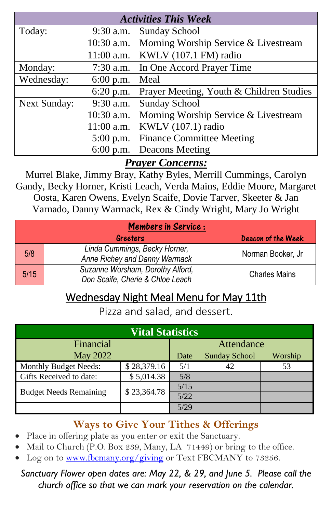| <b>Activities This Week</b> |              |                                          |  |  |
|-----------------------------|--------------|------------------------------------------|--|--|
| Today:                      | $9:30$ a.m.  | <b>Sunday School</b>                     |  |  |
|                             | $10:30$ a.m. | Morning Worship Service & Livestream     |  |  |
|                             |              | 11:00 a.m. KWLV (107.1 FM) radio         |  |  |
| Monday:                     | $7:30$ a.m.  | In One Accord Prayer Time                |  |  |
| Wednesday:                  | $6:00$ p.m.  | Meal                                     |  |  |
|                             | $6:20$ p.m.  | Prayer Meeting, Youth & Children Studies |  |  |
| <b>Next Sunday:</b>         | $9:30$ a.m.  | <b>Sunday School</b>                     |  |  |
|                             | $10:30$ a.m. | Morning Worship Service & Livestream     |  |  |
|                             | $11:00$ a.m. | KWLV (107.1) radio                       |  |  |
|                             | $5:00$ p.m.  | <b>Finance Committee Meeting</b>         |  |  |
|                             | $6:00$ p.m.  | Deacons Meeting                          |  |  |
| T.<br>$\sim$ $\sim$         |              |                                          |  |  |

*Prayer Concerns:*

Murrel Blake, Jimmy Bray, Kathy Byles, Merrill Cummings, Carolyn Gandy, Becky Horner, Kristi Leach, Verda Mains, Eddie Moore, Margaret Oosta, Karen Owens, Evelyn Scaife, Dovie Tarver, Skeeter & Jan Varnado, Danny Warmack, Rex & Cindy Wright, Mary Jo Wright

| <b>Members in Service:</b> |                                                                      |                           |  |
|----------------------------|----------------------------------------------------------------------|---------------------------|--|
|                            | Greeters                                                             | <b>Deacon of the Week</b> |  |
| 5/8                        | Linda Cummings, Becky Horner,<br>Anne Richey and Danny Warmack       | Norman Booker, Jr         |  |
| 5/15                       | Suzanne Worsham, Dorothy Alford,<br>Don Scaife, Cherie & Chloe Leach | <b>Charles Mains</b>      |  |

# Wednesday Night Meal Menu for May 11th

Pizza and salad, and dessert.

| <b>Vital Statistics</b>       |             |            |                      |         |
|-------------------------------|-------------|------------|----------------------|---------|
| Financial                     |             | Attendance |                      |         |
| May 2022                      |             | Date       | <b>Sunday School</b> | Worship |
| <b>Monthly Budget Needs:</b>  | \$28,379.16 | 5/1        | 42                   | 53      |
| Gifts Received to date:       | \$5,014.38  | 5/8        |                      |         |
|                               | \$23,364.78 | 5/15       |                      |         |
| <b>Budget Needs Remaining</b> |             | 5/22       |                      |         |
|                               |             | 5/29       |                      |         |

## **Ways to Give Your Tithes & Offerings**

- Place in offering plate as you enter or exit the Sanctuary.
- Mail to Church (P.O. Box 239, Many, LA 71449) or bring to the office.
- Log on to [www.fbcmany.org/giving](http://www.fbcmany.org/giving) or Text FBCMANY to 73256.

#### *Sanctuary Flower open dates are: May 22, & 29, and June 5. Please call the church office so that we can mark your reservation on the calendar.*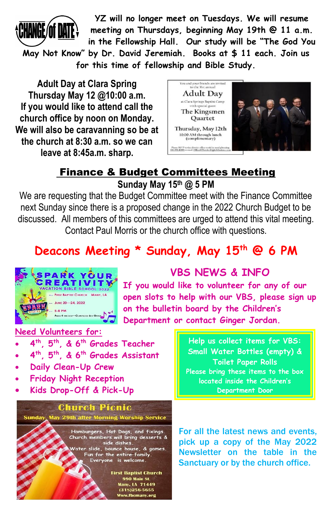

**YZ will no longer meet on Tuesdays. We will resume meeting on Thursdays, beginning May 19th @ 11 a.m. in the Fellowship Hall. Our study will be "The God You** 

**May Not Know" by Dr. David Jeremiah. Books at \$ 11 each. Join us for this time of fellowship and Bible Study.**

**Adult Day at Clara Spring Thursday May 12 @10:00 a.m. If you would like to attend call the church office by noon on Monday. We will also be caravanning so be at the church at 8:30 a.m. so we can leave at 8:45a.m. sharp.**



## Finance & Budget Committees Meeting **Sunday May 15th @ 5 PM**

We are requesting that the Budget Committee meet with the Finance Committee next Sunday since there is a proposed change in the 2022 Church Budget to be discussed. All members of this committees are urged to attend this vital meeting. Contact Paul Morris or the church office with questions.

# **Deacons Meeting \* Sunday, May 15th @ 6 PM**



# **VBS NEWS & INFO**

**If you would like to volunteer for any of our open slots to help with our VBS, please sign up on the bulletin board by the Children's Department or contact Ginger Jordan.**

#### **Need Volunteers for:**

- **4 th, 5th, & 6th Grades Teacher**
- **4 th, 5th, & 6th Grades Assistant**
- **Daily Clean-Up Crew**
- **Friday Night Reception**
- **Kids Drop-Off & Pick-Up**

#### **Church Picnic** May 29th after Morning Worship Service Sunday,

Hamburgers, Hot Dogs, and fixings.<br>Church members will bring desserts &<br>side dishes. Water slide, bounce house, & games. Fun for the entire family.<br>Everyone is welcome.

> **First Baptist Church** 990 Main St. Many, LA 71449 (318)256-5655 Www.fbcmany.org

**Help us collect items for VBS: Small Water Bottles (empty) & Toilet Paper Rolls Please bring these items to the box located inside the Children's Department Door**

For all the latest news and events, pick up a copy of the May 2022 Newsletter on the table in the Sanctuary or by the church office.